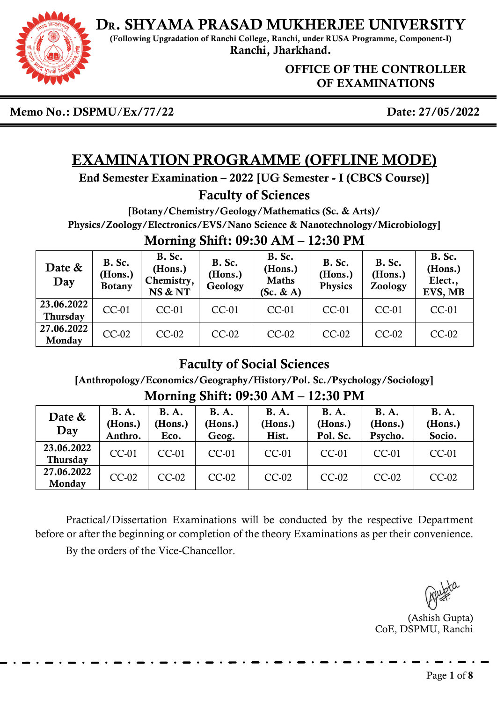

(Following Upgradation of Ranchi College, Ranchi, under RUSA Programme, Component-I) Ranchi, Jharkhand.

> OFFICE OF THE CONTROLLER OF EXAMINATIONS

Memo No.: DSPMU/Ex/77/22 Date: 27/05/2022

# EXAMINATION PROGRAMME (OFFLINE MODE)

End Semester Examination – 2022 [UG Semester - I (CBCS Course)]

### Faculty of Sciences

[Botany/Chemistry/Geology/Mathematics (Sc. & Arts)/ Physics/Zoology/Electronics/EVS/Nano Science & Nanotechnology/Microbiology] Morning Shift: 09:30 AM – 12:30 PM

| Date &<br>Day          | <b>B.</b> Sc.<br>(Hons.)<br><b>Botany</b> | <b>B.</b> Sc.<br>(Hons.)<br>Chemistry,<br>NS & NT | B. Sc.<br>(Hons.)<br>Geology | <b>B.</b> Sc.<br>(Hons.)<br><b>Maths</b><br>$(Sc. \& A)$ | <b>B.</b> Sc.<br>(Hons.)<br><b>Physics</b> | <b>B.</b> Sc.<br>(Hons.)<br>Zoology | <b>B.</b> Sc.<br>(Hons.)<br>Elect.,<br>EVS, MB |
|------------------------|-------------------------------------------|---------------------------------------------------|------------------------------|----------------------------------------------------------|--------------------------------------------|-------------------------------------|------------------------------------------------|
| 23.06.2022<br>Thursday | <b>CC-01</b>                              | <b>CC-01</b>                                      | CC-01                        | CC-01                                                    | <b>CC-01</b>                               | $CC-01$                             | <b>CC-01</b>                                   |
| 27.06.2022<br>Monday   | $CC-02$                                   | $CC-02$                                           | $CC-02$                      | $CC-02$                                                  | $CC-02$                                    | $CC-02$                             | $CC-02$                                        |

## Faculty of Social Sciences

[Anthropology/Economics/Geography/History/Pol. Sc./Psychology/Sociology]

| www.ming.com.com/<br>LAIUV LIIL |                                   |                                |                                 |                                 |                                    |                                   |                                  |  |
|---------------------------------|-----------------------------------|--------------------------------|---------------------------------|---------------------------------|------------------------------------|-----------------------------------|----------------------------------|--|
| Date &<br>Day                   | <b>B.A.</b><br>(Hons.)<br>Anthro. | <b>B.A.</b><br>(Hons.)<br>Eco. | <b>B.A.</b><br>(Hons.)<br>Geog. | <b>B.A.</b><br>(Hons.)<br>Hist. | <b>B.A.</b><br>(Hons.)<br>Pol. Sc. | <b>B.A.</b><br>(Hons.)<br>Psycho. | <b>B.A.</b><br>(Hons.)<br>Socio. |  |
| 23.06.2022<br><b>Thursday</b>   | <b>CC-01</b>                      | $CC-01$                        | $CC-01$                         | <b>CC-01</b>                    | $CC-01$                            | $CC-01$                           | $CC-01$                          |  |
| 27.06.2022<br>Monday            | $CC-02$                           | $CC-02$                        | $CC-02$                         | $CC-02$                         | $CC-02$                            | $CC-02$                           | $CC-02$                          |  |

Morning Shift: 09:30 AM – 12:30 PM

Practical/Dissertation Examinations will be conducted by the respective Department before or after the beginning or completion of the theory Examinations as per their convenience.

By the orders of the Vice-Chancellor.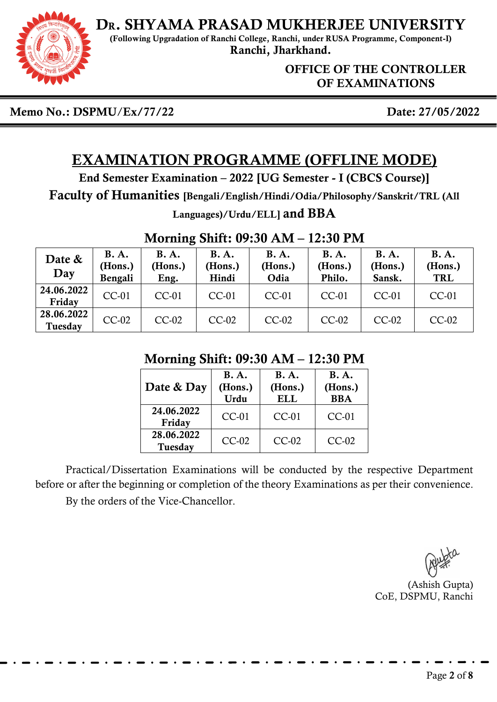DR. SHYAMA PRASAD MUKHERJEE UNIVERSITY (Following Upgradation of Ranchi College, Ranchi, under RUSA Programme, Component-I)

Ranchi, Jharkhand.

OFFICE OF THE CONTROLLER OF EXAMINATIONS

Memo No.: DSPMU/Ex/77/22 Date: 27/05/2022

# EXAMINATION PROGRAMME (OFFLINE MODE)

End Semester Examination – 2022 [UG Semester - I (CBCS Course)]

Faculty of Humanities [Bengali/English/Hindi/Odia/Philosophy/Sanskrit/TRL (All

Languages)/Urdu/ELL] and BBA

#### Morning Shift: 09:30 AM – 12:30 PM

| Date &<br>Day         | <b>B.A.</b><br>(Hons.)<br>Bengali | <b>B.A.</b><br>(Hons.)<br>Eng. | <b>B.A.</b><br>(Hons.)<br>Hindi | <b>B.A.</b><br>(Hons.)<br>Odia | <b>B.A.</b><br>(Hons.)<br>Philo. | <b>B.A.</b><br>(Hons.)<br>Sansk. | <b>B.A.</b><br>(Hons.)<br><b>TRL</b> |
|-----------------------|-----------------------------------|--------------------------------|---------------------------------|--------------------------------|----------------------------------|----------------------------------|--------------------------------------|
| 24.06.2022<br>Friday  | $CC-01$                           | $CC-01$                        | $CC-01$                         | $CC-01$                        | $CC-01$                          | $CC-01$                          | $CC-01$                              |
| 28.06.2022<br>Tuesday | $CC-02$                           | $CC-02$                        | $CC-02$                         | $CC-02$                        | $CC-02$                          | $CC-02$                          | $CC-02$                              |

### Morning Shift: 09:30 AM – 12:30 PM

| Date & Day            | <b>B.A.</b><br>(Hons.)<br>Urdu | <b>B.A.</b><br>(Hons.)<br><b>ELL</b> | <b>B.A.</b><br>(Hons.)<br><b>BBA</b> |  |
|-----------------------|--------------------------------|--------------------------------------|--------------------------------------|--|
| 24.06.2022<br>Friday  | <b>CC-01</b>                   | $CC-01$                              | $CC-01$                              |  |
| 28.06.2022<br>Tuesday | $CC-02$                        | $CC-02$                              | $CC-02$                              |  |

Practical/Dissertation Examinations will be conducted by the respective Department before or after the beginning or completion of the theory Examinations as per their convenience.

By the orders of the Vice-Chancellor.

(Ashish Gupta) CoE, DSPMU, Ranchi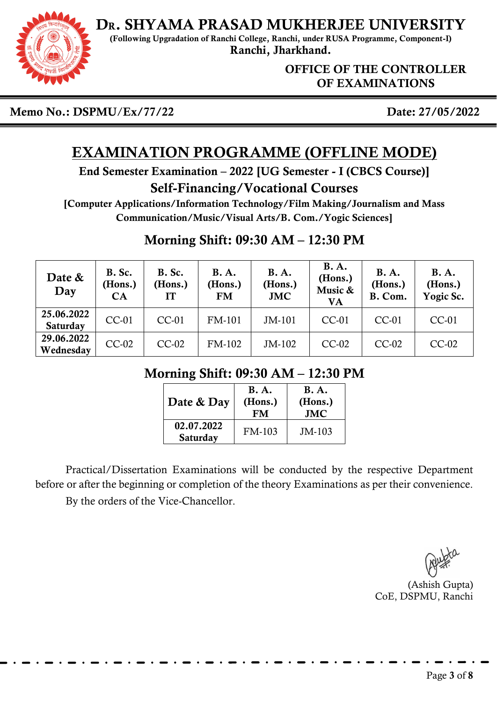

(Following Upgradation of Ranchi College, Ranchi, under RUSA Programme, Component-I) Ranchi, Jharkhand.

> OFFICE OF THE CONTROLLER OF EXAMINATIONS

Memo No.: DSPMU/Ex/77/22 Date: 27/05/2022

# EXAMINATION PROGRAMME (OFFLINE MODE)

End Semester Examination – 2022 [UG Semester - I (CBCS Course)]

### Self-Financing/Vocational Courses

[Computer Applications/Information Technology/Film Making/Journalism and Mass Communication/Music/Visual Arts/B. Com./Yogic Sciences]

## Morning Shift: 09:30 AM – 12:30 PM

| Date &<br>Day                 | B. Sc.<br>(Hons.)<br>CA | B. Sc.<br>(Hons.)<br><b>IT</b> | <b>B.A.</b><br>(Hons.)<br><b>FM</b> | <b>B.A.</b><br>(Hons.)<br><b>JMC</b> | <b>B.A.</b><br>(Hons.)<br>Music &<br><b>VA</b> | <b>B.A.</b><br>(Hons.)<br>B. Com. | <b>B.A.</b><br>(Hons.)<br>Yogic Sc. |
|-------------------------------|-------------------------|--------------------------------|-------------------------------------|--------------------------------------|------------------------------------------------|-----------------------------------|-------------------------------------|
| 25.06.2022<br><b>Saturday</b> | <b>CC-01</b>            | <b>CC-01</b>                   | <b>FM-101</b>                       | JM-101                               | $CC-01$                                        | $CC-01$                           | <b>CC-01</b>                        |
| 29.06.2022<br>Wednesday       | $CC-02$                 | $CC-02$                        | FM-102                              | JM-102                               | $CC-02$                                        | $CC-02$                           | $CC-02$                             |

## Morning Shift: 09:30 AM – 12:30 PM

| Date & Day             | <b>B.A.</b><br>(Hons.)<br>FM | <b>B.A.</b><br>(Hons.)<br><b>JMC</b> |
|------------------------|------------------------------|--------------------------------------|
| 02.07.2022<br>Saturday | $FM-103$                     | $JM-103$                             |

Practical/Dissertation Examinations will be conducted by the respective Department before or after the beginning or completion of the theory Examinations as per their convenience.

By the orders of the Vice-Chancellor.

(Ashish Gupta) CoE, DSPMU, Ranchi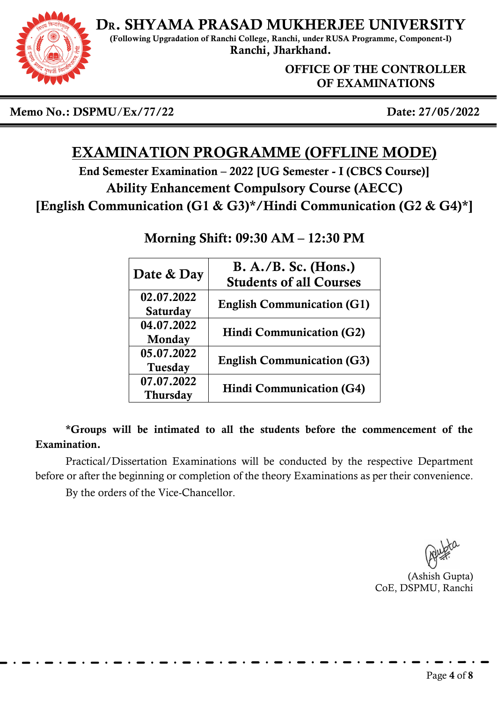

(Following Upgradation of Ranchi College, Ranchi, under RUSA Programme, Component-I) Ranchi, Jharkhand.

> OFFICE OF THE CONTROLLER OF EXAMINATIONS

Memo No.: DSPMU/Ex/77/22 Date: 27/05/2022

# EXAMINATION PROGRAMME (OFFLINE MODE)

End Semester Examination – 2022 [UG Semester - I (CBCS Course)] Ability Enhancement Compulsory Course (AECC) [English Communication (G1 & G3)\*/Hindi Communication (G2 & G4)\*]

| Date & Day                    | $B. A./B.$ Sc. (Hons.)<br><b>Students of all Courses</b> |
|-------------------------------|----------------------------------------------------------|
| 02.07.2022<br><b>Saturday</b> | <b>English Communication (G1)</b>                        |
| 04.07.2022<br>Monday          | <b>Hindi Communication (G2)</b>                          |
| 05.07.2022<br><b>Tuesday</b>  | <b>English Communication (G3)</b>                        |
| 07.07.2022<br><b>Thursday</b> | <b>Hindi Communication (G4)</b>                          |

### Morning Shift: 09:30 AM – 12:30 PM

\*Groups will be intimated to all the students before the commencement of the Examination.

Practical/Dissertation Examinations will be conducted by the respective Department before or after the beginning or completion of the theory Examinations as per their convenience.

By the orders of the Vice-Chancellor.

(Ashish Gupta) CoE, DSPMU, Ranchi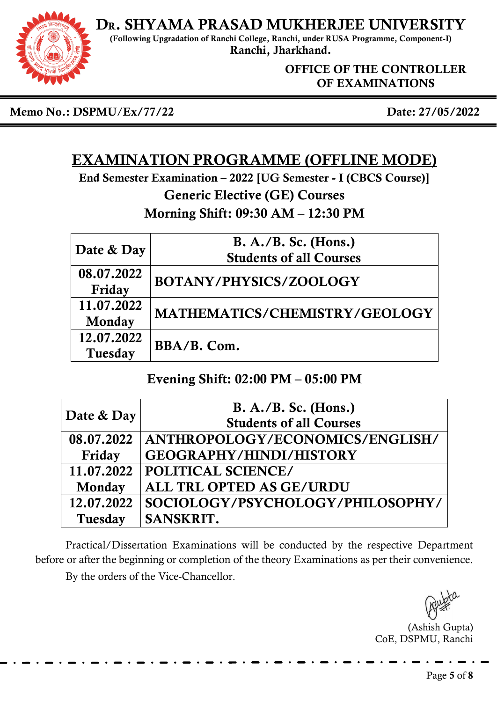

(Following Upgradation of Ranchi College, Ranchi, under RUSA Programme, Component-I) Ranchi, Jharkhand.

> OFFICE OF THE CONTROLLER OF EXAMINATIONS

Memo No.: DSPMU/Ex/77/22 Date: 27/05/2022

# EXAMINATION PROGRAMME (OFFLINE MODE)

End Semester Examination – 2022 [UG Semester - I (CBCS Course)] Generic Elective (GE) Courses

Morning Shift: 09:30 AM – 12:30 PM

|            | $B. A./B.$ Sc. (Hons.)         |  |  |  |  |
|------------|--------------------------------|--|--|--|--|
| Date & Day | <b>Students of all Courses</b> |  |  |  |  |
| 08.07.2022 | BOTANY/PHYSICS/ZOOLOGY         |  |  |  |  |
| Friday     |                                |  |  |  |  |
| 11.07.2022 | MATHEMATICS/CHEMISTRY/GEOLOGY  |  |  |  |  |
| Monday     |                                |  |  |  |  |
| 12.07.2022 | BBA/B. Com.                    |  |  |  |  |
| Tuesday    |                                |  |  |  |  |

### Evening Shift: 02:00 PM – 05:00 PM

|            | $B. A./B.$ Sc. (Hons.)           |
|------------|----------------------------------|
| Date & Day | <b>Students of all Courses</b>   |
| 08.07.2022 | ANTHROPOLOGY/ECONOMICS/ENGLISH/  |
| Friday     | <b>GEOGRAPHY/HINDI/HISTORY</b>   |
| 11.07.2022 | <b>POLITICAL SCIENCE/</b>        |
| Monday     | ALL TRL OPTED AS GE/URDU         |
| 12.07.2022 | SOCIOLOGY/PSYCHOLOGY/PHILOSOPHY/ |
| Tuesday    | SANSKRIT.                        |

Practical/Dissertation Examinations will be conducted by the respective Department before or after the beginning or completion of the theory Examinations as per their convenience. By the orders of the Vice-Chancellor.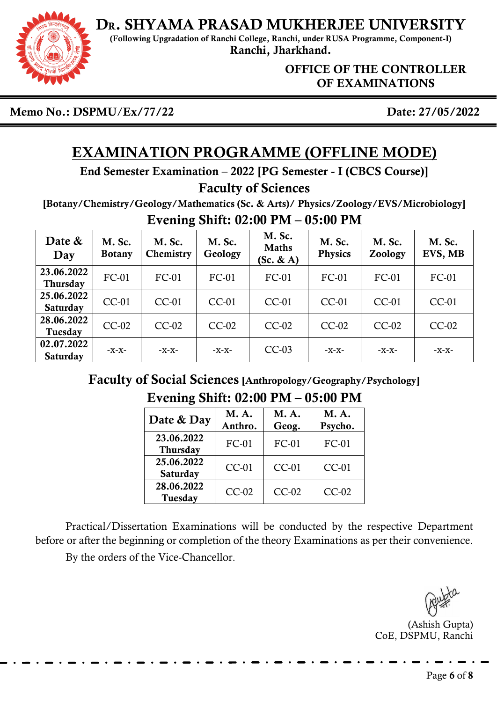

(Following Upgradation of Ranchi College, Ranchi, under RUSA Programme, Component-I) Ranchi, Jharkhand.

> OFFICE OF THE CONTROLLER OF EXAMINATIONS

Memo No.: DSPMU/Ex/77/22 Date: 27/05/2022

# EXAMINATION PROGRAMME (OFFLINE MODE)

End Semester Examination – 2022 [PG Semester - I (CBCS Course)]

#### Faculty of Sciences

[Botany/Chemistry/Geology/Mathematics (Sc. & Arts)/ Physics/Zoology/EVS/Microbiology] Evening Shift: 02:00 PM – 05:00 PM

| Date &<br>Day                 | M. Sc.<br><b>Botany</b> | M. Sc.<br>Chemistry | M. Sc.<br>Geology | M. Sc.<br><b>Maths</b><br>(Sc. & A) | M. Sc.<br><b>Physics</b> | M. Sc.<br>Zoology | M. Sc.<br>EVS, MB |
|-------------------------------|-------------------------|---------------------|-------------------|-------------------------------------|--------------------------|-------------------|-------------------|
| 23.06.2022<br><b>Thursday</b> | $FC-01$                 | $FC-01$             | FC-01             | FC-01                               | $FC-01$                  | FC-01             | FC-01             |
| 25.06.2022<br><b>Saturday</b> | CC-01                   | $CC-01$             | $CC-01$           | $CC-01$                             | $CC-01$                  | $CC-01$           | $CC-01$           |
| 28.06.2022<br>Tuesday         | $CC-02$                 | $CC-02$             | $CC-02$           | $CC-02$                             | $CC-02$                  | $CC-02$           | $CC-02$           |
| 02.07.2022<br><b>Saturday</b> | $-X-X-$                 | $-X-X-$             | -X-X-             | $CC-03$                             | $-X-X-$                  | $-X-X$ -          | -X-X-             |

Faculty of Social Sciences [Anthropology/Geography/Psychology] Evening Shift: 02:00 PM – 05:00 PM

| Date & Day             | M.A.<br>Anthro. | M.A.<br>Geog. | <b>M.A.</b><br>Psycho. |  |
|------------------------|-----------------|---------------|------------------------|--|
| 23.06.2022<br>Thursday | FC-01           | FC-01         | FC-01                  |  |
| 25.06.2022<br>Saturday | <b>CC-01</b>    | $CC-01$       | $CC-01$                |  |
| 28.06.2022<br>Tuesday  | $CC-02$         | $CC-02$       | $CC-02$                |  |

Practical/Dissertation Examinations will be conducted by the respective Department before or after the beginning or completion of the theory Examinations as per their convenience. By the orders of the Vice-Chancellor.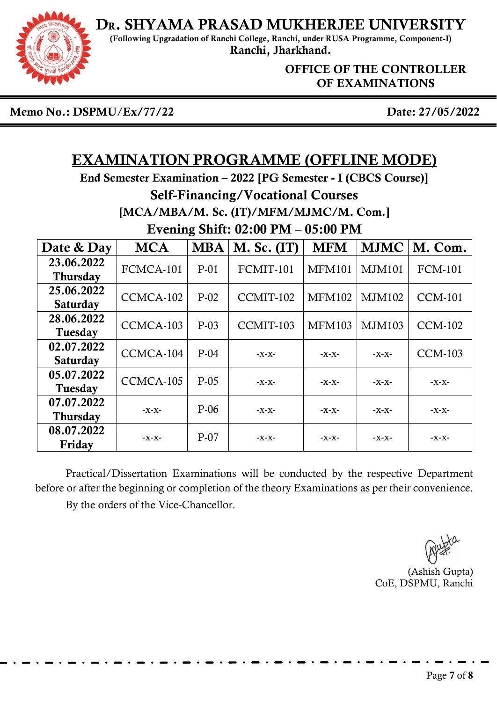

(Following Upgradation of Ranchi College, Ranchi, under RUSA Programme, Component-I) Ranchi, Jharkhand.

OFFICE OF THE CONTROLLER OF EXAMINATIONS

Memo No.: DSPMU/Ex/77/22 Date: 27/05/2022

## EXAMINATION PROGRAMME (OFFLINE MODE)

End Semester Examination – 2022 [PG Semester - I (CBCS Course)] Self-Financing/Vocational Courses [MCA/MBA/M. Sc. (IT)/MFM/MJMC/M. Com.] Evening Shift: 02:00 PM – 05:00 PM

| Date & Day                    | <b>MCA</b> | <b>MBA</b> | <b>M. Sc. (IT)</b> | <b>MFM</b>    | <b>MJMC</b>   | M. Com.        |
|-------------------------------|------------|------------|--------------------|---------------|---------------|----------------|
| 23.06.2022<br><b>Thursday</b> | FCMCA-101  | $P-01$     | FCMIT-101          | <b>MFM101</b> | <b>MJM101</b> | <b>FCM-101</b> |
| 25.06.2022<br><b>Saturday</b> | CCMCA-102  | $P-02$     | CCMIT-102          | <b>MFM102</b> | <b>MJM102</b> | <b>CCM-101</b> |
| 28.06.2022<br>Tuesday         | CCMCA-103  | $P-03$     | CCMIT-103          | <b>MFM103</b> | MJM103        | <b>CCM-102</b> |
| 02.07.2022<br><b>Saturday</b> | CCMCA-104  | $P-04$     | $-X-X-$            | -X-X-         | $-X-X-$       | <b>CCM-103</b> |
| 05.07.2022<br>Tuesday         | CCMCA-105  | $P-05$     | $-X-X-$            | -X-X-         | $-X-X-$       | -X-X-          |
| 07.07.2022<br><b>Thursday</b> | -X-X-      | $P-06$     | -X-X-              | -X-X-         | -X-X-         | -X-X-          |
| 08.07.2022<br>Friday          | $-X-X-$    | $P-07$     | -X-X-              | -X-X-         | -X-X-         | -X-X-          |

Practical/Dissertation Examinations will be conducted by the respective Department before or after the beginning or completion of the theory Examinations as per their convenience. By the orders of the Vice-Chancellor.